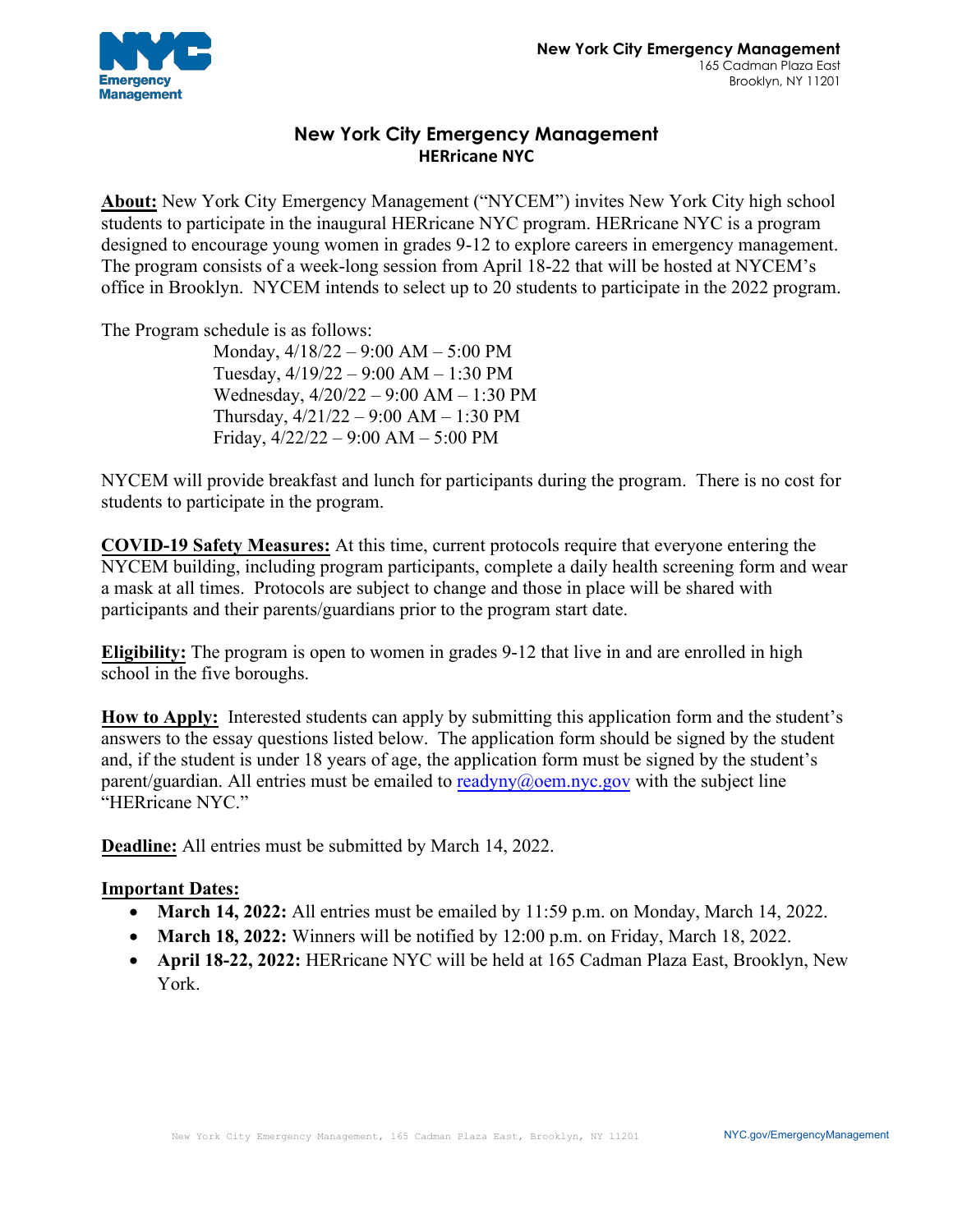

## **New York City Emergency Management HERricane NYC**

**About:** New York City Emergency Management ("NYCEM") invites New York City high school students to participate in the inaugural HERricane NYC program. HERricane NYC is a program designed to encourage young women in grades 9-12 to explore careers in emergency management. The program consists of a week-long session from April 18-22 that will be hosted at NYCEM's office in Brooklyn. NYCEM intends to select up to 20 students to participate in the 2022 program.

The Program schedule is as follows:

Monday, 4/18/22 – 9:00 AM – 5:00 PM Tuesday, 4/19/22 – 9:00 AM – 1:30 PM Wednesday, 4/20/22 – 9:00 AM – 1:30 PM Thursday,  $4/21/22 - 9:00$  AM  $- 1:30$  PM Friday, 4/22/22 – 9:00 AM – 5:00 PM

NYCEM will provide breakfast and lunch for participants during the program. There is no cost for students to participate in the program.

**COVID-19 Safety Measures:** At this time, current protocols require that everyone entering the NYCEM building, including program participants, complete a daily health screening form and wear a mask at all times. Protocols are subject to change and those in place will be shared with participants and their parents/guardians prior to the program start date.

**Eligibility:** The program is open to women in grades 9-12 that live in and are enrolled in high school in the five boroughs.

**How to Apply:** Interested students can apply by submitting this application form and the student's answers to the essay questions listed below. The application form should be signed by the student and, if the student is under 18 years of age, the application form must be signed by the student's parent/guardian. All entries must be emailed to [readyny@oem.nyc.gov](mailto:readyny@oem.nyc.gov) with the subject line "HERricane NYC."

**Deadline:** All entries must be submitted by March 14, 2022.

## **Important Dates:**

- **March 14, 2022:** All entries must be emailed by 11:59 p.m. on Monday, March 14, 2022.
- **March 18, 2022:** Winners will be notified by 12:00 p.m. on Friday, March 18, 2022.
- **April 18-22, 2022:** HERricane NYC will be held at 165 Cadman Plaza East, Brooklyn, New York.